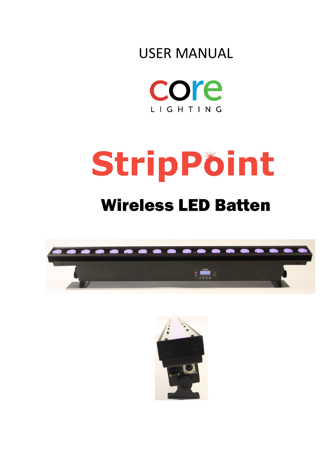



# StripPöint

# Wireless LED Batten



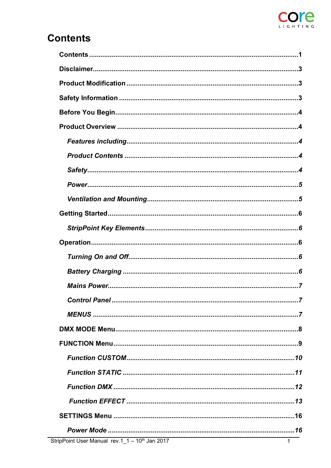

# **Contents**

| Control Panel<br>$\overline{z}$                |
|------------------------------------------------|
|                                                |
|                                                |
|                                                |
|                                                |
|                                                |
|                                                |
|                                                |
|                                                |
|                                                |
| $ripPoint User Manual rev.1_1 - 10th Jan 2017$ |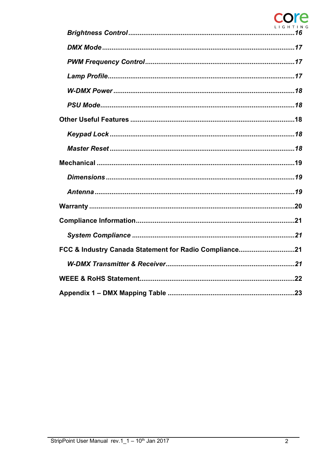# LIGH  $\overline{I}$  N  $\overline{G}$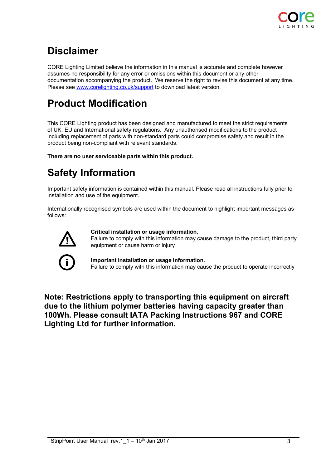

# **Disclaimer**

CORE Lighting Limited believe the information in this manual is accurate and complete however assumes no responsibility for any error or omissions within this document or any other documentation accompanying the product. We reserve the right to revise this document at any time. Please see www.corelighting.co.uk/support to download latest version.

# **Product Modification**

This CORE Lighting product has been designed and manufactured to meet the strict requirements of UK, EU and International safety regulations. Any unauthorised modifications to the product including replacement of parts with non-standard parts could compromise safety and result in the product being non-compliant with relevant standards.

**There are no user serviceable parts within this product.**

# **Safety Information**

Important safety information is contained within this manual. Please read all instructions fully prior to installation and use of the equipment.

Internationally recognised symbols are used within the document to highlight important messages as follows:



### **Critical installation or usage information**.

Failure to comply with this information may cause damage to the product, third party equipment or cause harm or injury



### **Important installation or usage information.**

Failure to comply with this information may cause the product to operate incorrectly

**Note: Restrictions apply to transporting this equipment on aircraft due to the lithium polymer batteries having capacity greater than 100Wh. Please consult IATA Packing Instructions 967 and CORE Lighting Ltd for further information.**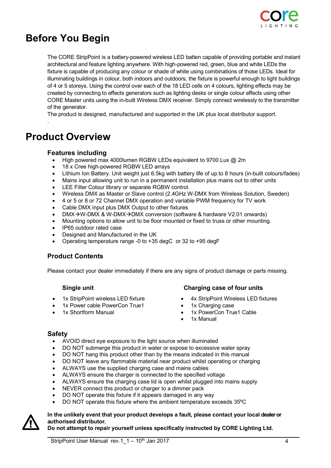

# **Before You Begin**

The CORE StripPoint is a battery-powered wireless LED batten capable of providing portable and instant architectural and feature lighting anywhere. With high-powered red, green, blue and white LEDs the fixture is capable of producing any colour or shade of white using combinations of those LEDs. Ideal for illuminating buildings in colour, both indoors and outdoors, the fixture is powerful enough to light buildings of 4 or 5 storeys. Using the control over each of the 18 LED cells on 4 colours, lighting effects may be created by connecting to effects generators such as lighting desks or single colour effects using other CORE Master units using the in-built Wireless DMX receiver. Simply connect wirelessly to the transmitter of the generator.

The product is designed, manufactured and supported in the UK plus local distributor support.

# **Product Overview**

.

### **Features including**

- High powered max 4000lumen RGBW LEDs equivalent to 9700 Lux @ 2m
- 18 x Cree high-powered RGBW LED arrays
- Lithium Ion Battery. Unit weight just 6.5kg with battery life of up to 8 hours (in-built colours/fades)
- Mains input allowing unit to run in a permanent installation plus mains out to other units
- LEE Filter Colour library or separate RGBW control.
- Wireless DMX as Master or Slave control (2.4GHz W-DMX from Wireless Solution, Sweden)
- 4 or 5 or 8 or 72 Channel DMX operation and variable PWM frequency for TV work
- Cable DMX input plus DMX Output to other fixtures
- DMX $\rightarrow$ W-DMX & W-DMX $\rightarrow$ DMX conversion (software & hardware V2.01 onwards)
- Mounting options to allow unit to be floor mounted or fixed to truss or other mounting.
- IP65 outdoor rated case
- Designed and Manufactured in the UK
- Operating temperature range -0 to +35 degC or 32 to +95 degF

### **Product Contents**

Please contact your dealer immediately if there are any signs of product damage or parts missing.

- 1x StripPoint wireless LED fixture
- 1x Power cable PowerCon True1
- 1x Shortform Manual

### **Single unit Charging case of four units**

- 4x StripPoint Wireless LED fixtures
- 1x Charging case
- 1x PowerCon True1 Cable
- 1x Manual

### **Safety**

- AVOID direct eye exposure to the light source when illuminated
- DO NOT submerge this product in water or expose to excessive water spray
- DO NOT hang this product other than by the means indicated in this manual
- DO NOT leave any flammable material near product whilst operating or charging
- ALWAYS use the supplied charging case and mains cables
- ALWAYS ensure the charger is connected to the specified voltage
- ALWAYS ensure the charging case lid is open whilst plugged into mains supply
- NEVER connect this product or charger to a dimmer pack
- DO NOT operate this fixture if it appears damaged in any way
- DO NOT operate this fixture where the ambient temperature exceeds 35ºC



### **In the unlikely event that your product develops a fault, please contact your local dealer or authorised distributor.**

### **Do not attempt to repair yourself unless specifically instructed by CORE Lighting Ltd.**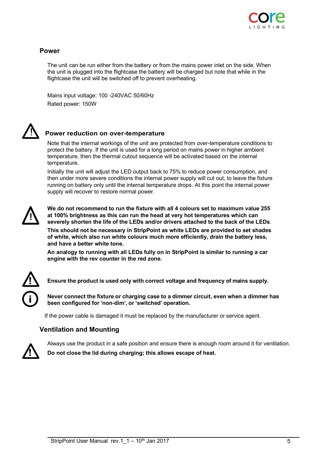

### **Power**

The unit can be run either from the battery or from the mains power inlet on the side. When the unit is plugged into the flightcase the battery will be charged but note that while in the flightcase the unit will be switched off to prevent overheating.

Mains input voltage: 100 -240VAC 50/60Hz Rated power: 150W



### ! **Power reduction on over-temperature**

Note that the internal workings of the unit are protected from over-temperature conditions to protect the battery. If the unit is used for a long period on mains power in higher ambient temperature, then the thermal cutout sequence will be activated based on the internal temperature.

Initially the unit will adjust the LED output back to 75% to reduce power consumption, and then under more severe conditions the internal power supply will cut out, to leave the fixture running on battery only until the internal temperature drops. At this point the internal power supply will recover to restore normal power.



**We do not recommend to run the fixture with all 4 colours set to maximum value 255 at 100% brightness as this can run the head at very hot temperatures which can severely shorten the life of the LEDs and/or drivers attached to the back of the LEDs**.

**This should not be necessary in StripPoint as white LEDs are provided to set shades of white, which also run white colours much more efficiently, drain the battery less, and have a better white tone.**

**An analogy to running with all LEDs fully on in StripPoint is similar to running a car engine with the rev counter in the red zone.**



**! Ensure the product is used only with correct voltage and frequency of mains supply.**

**Never connect the fixture or charging case to a dimmer circuit, even when a dimmer has been configured for 'non-dim', or 'switched' operation.**

If the power cable is damaged it must be replaced by the manufacturer or service agent.

### **Ventilation and Mounting**



Always use the product in a safe position and ensure there is enough room around it for ventilation. **! Do not close the lid during charging; this allows escape of heat.**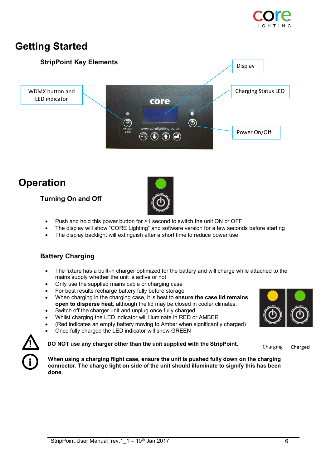

# **Getting Started**



# **Operation**

### **Turning On and Off**



- Push and hold this power button for >1 second to switch the unit ON or OFF
- The display will show "CORE Lighting" and software version for a few seconds before starting
- The display backlight will extinguish after a short time to reduce power use

### **Battery Charging**

- The fixture has a built-in charger optimized for the battery and will charge while attached to the mains supply whether the unit is active or not
- Only use the supplied mains cable or charging case
- For best results recharge battery fully before storage
- When charging in the charging case, it is best to **ensure the case lid remains open to disperse heat**, although the lid may be closed in cooler climates.
- Switch off the charger unit and unplug once fully charged
- Whilst charging the LED indicator will illuminate in RED or AMBER
- (Red indicates an empty battery moving to Amber when significantly charged)
- Once fully charged the LED indicator will show GREEN

**! DO NOT use any charger other than the unit supplied with the StripPoint.**



Charging Charged



**When using a charging flight case, ensure the unit is pushed fully down on the charging connector. The charge light on side of the unit should illuminate to signify this has been done.**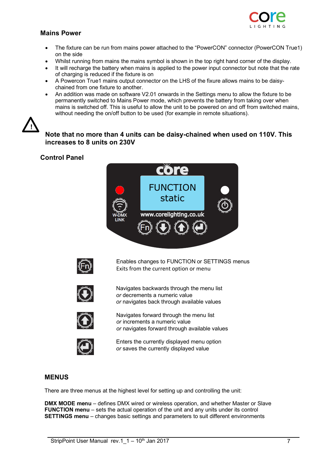### **Mains Power**



- The fixture can be run from mains power attached to the "PowerCON" connector (PowerCON True1) on the side
- Whilst running from mains the mains symbol is shown in the top right hand corner of the display.
- It will recharge the battery when mains is applied to the power input connector but note that the rate of charging is reduced if the fixture is on
- A Powercon True1 mains output connector on the LHS of the fixure allows mains to be daisychained from one fixture to another.
- An addition was made on software V2.01 onwards in the Settings menu to allow the fixture to be permanently switched to Mains Power mode, which prevents the battery from taking over when mains is switched off. This is useful to allow the unit to be powered on and off from switched mains, without needing the on/off button to be used (for example in remote situations).



**Note that no more than 4 units can be daisy-chained when used on 110V. This increases to 8 units on 230V**

### **Control Panel**





Enables changes to FUNCTION or SETTINGS menus Exits from the current option or menu



Navigates backwards through the menu list *or* decrements a numeric value *or* navigates back through available values



Navigates forward through the menu list *or* increments a numeric value *or* navigates forward through available values



Enters the currently displayed menu option *or* saves the currently displayed value

### **MENUS**

There are three menus at the highest level for setting up and controlling the unit:

**DMX MODE menu** – defines DMX wired or wireless operation, and whether Master or Slave **FUNCTION menu** – sets the actual operation of the unit and any units under its control **SETTINGS menu** – changes basic settings and parameters to suit different environments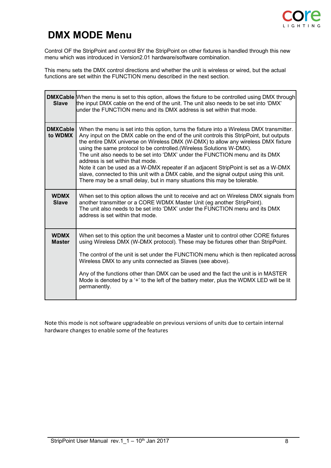

# **DMX MODE Menu**

Control OF the StripPoint and control BY the StripPoint on other fixtures is handled through this new menu which was introduced in Version2.01 hardware/software combination.

This menu sets the DMX control directions and whether the unit is wireless or wired, but the actual functions are set within the FUNCTION menu described in the next section.

| <b>Slave</b>                 | <b>DMXCable</b> When the menu is set to this option, allows the fixture to be controlled using DMX through<br>the input DMX cable on the end of the unit. The unit also needs to be set into 'DMX'<br>under the FUNCTION menu and its DMX address is set within that mode.                                                                                                                                                                                                                                                                                                                                                                                                                                                           |
|------------------------------|--------------------------------------------------------------------------------------------------------------------------------------------------------------------------------------------------------------------------------------------------------------------------------------------------------------------------------------------------------------------------------------------------------------------------------------------------------------------------------------------------------------------------------------------------------------------------------------------------------------------------------------------------------------------------------------------------------------------------------------|
| <b>DMXCable</b><br>to WDMX   | When the menu is set into this option, turns the fixture into a Wireless DMX transmitter.<br>Any input on the DMX cable on the end of the unit controls this StripPoint, but outputs<br>the entire DMX universe on Wireless DMX (W-DMX) to allow any wireless DMX fixture<br>using the same protocol to be controlled. (Wireless Solutions W-DMX).<br>The unit also needs to be set into 'DMX' under the FUNCTION menu and its DMX<br>address is set within that mode.<br>Note it can be used as a W-DMX repeater if an adjacent StripPoint is set as a W-DMX<br>slave, connected to this unit with a DMX cable, and the signal output using this unit.<br>There may be a small delay, but in many situations this may be tolerable. |
| <b>WDMX</b><br><b>Slave</b>  | When set to this option allows the unit to receive and act on Wireless DMX signals from<br>another transmitter or a CORE WDMX Master Unit (eg another StripPoint).<br>The unit also needs to be set into 'DMX' under the FUNCTION menu and its DMX<br>address is set within that mode.                                                                                                                                                                                                                                                                                                                                                                                                                                               |
| <b>WDMX</b><br><b>Master</b> | When set to this option the unit becomes a Master unit to control other CORE fixtures<br>using Wireless DMX (W-DMX protocol). These may be fixtures other than StripPoint.<br>The control of the unit is set under the FUNCTION menu which is then replicated across<br>Wireless DMX to any units connected as Slaves (see above).<br>Any of the functions other than DMX can be used and the fact the unit is in MASTER<br>Mode is denoted by a '+' to the left of the battery meter, plus the WDMX LED will be lit<br>permanently.                                                                                                                                                                                                 |

Note this mode is not software upgradeable on previous versions of units due to certain internal hardware changes to enable some of the features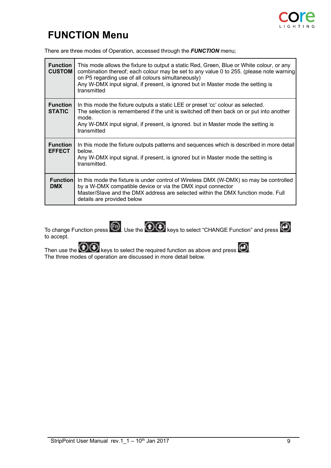

# **FUNCTION Menu**

There are three modes of Operation, accessed through the *FUNCTION* menu;

| <b>Function</b><br><b>CUSTOM</b> | This mode allows the fixture to output a static Red, Green, Blue or White colour, or any<br>combination thereof; each colour may be set to any value 0 to 255. (please note warning<br>on P5 regarding use of all colours simultaneously)<br>Any W-DMX input signal, if present, is ignored but in Master mode the setting is<br>transmitted |
|----------------------------------|----------------------------------------------------------------------------------------------------------------------------------------------------------------------------------------------------------------------------------------------------------------------------------------------------------------------------------------------|
| <b>Function</b><br><b>STATIC</b> | In this mode the fixture outputs a static LEE or preset 'cc' colour as selected.<br>The selection is remembered if the unit is switched off then back on or put into another<br>mode.<br>Any W-DMX input signal, if present, is ignored. but in Master mode the setting is<br>transmitted                                                    |
| <b>Function</b><br><b>EFFECT</b> | In this mode the fixture outputs patterns and sequences which is described in more detail<br>below.<br>Any W-DMX input signal, if present, is ignored but in Master mode the setting is<br>transmitted.                                                                                                                                      |
| <b>Function</b><br><b>DMX</b>    | In this mode the fixture is under control of Wireless DMX (W-DMX) so may be controlled<br>by a W-DMX compatible device or via the DMX input connector<br>Master/Slave and the DMX address are selected within the DMX function mode. Full<br>details are provided below                                                                      |



Then use the  $\blacktriangledown$  keys to select the required function as above and press  $\blacktriangledown$ . The three modes of operation are discussed in more detail below.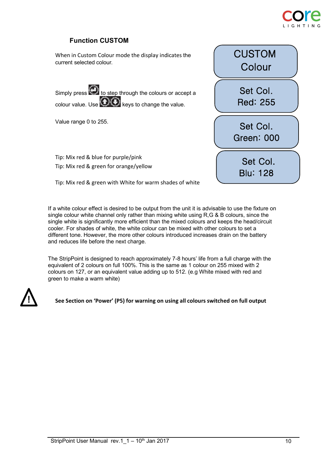

### **Function CUSTOM**

When in Custom Colour mode the display indicates the current selected colour.

Simply press  $\bigodot$  to step through the colours or accept a colour value. Use  $\bigcircled{O}$  keys to change the value.

Value range 0 to 255.

Tip: Mix red & blue for purple/pink Tip: Mix red & green for orange/yellow



Tip: Mix red & green with White for warm shades of white

If a white colour effect is desired to be output from the unit it is advisable to use the fixture on single colour white channel only rather than mixing white using R,G & B colours, since the single white is significantly more efficient than the mixed colours and keeps the head/circuit cooler. For shades of white, the white colour can be mixed with other colours to set a different tone. However, the more other colours introduced increases drain on the battery and reduces life before the next charge.

The StripPoint is designed to reach approximately 7-8 hours' life from a full charge with the equivalent of 2 colours on full 100%. This is the same as 1 colour on 255 mixed with 2 colours on 127, or an equivalent value adding up to 512. (e.g White mixed with red and green to make a warm white)



**See Section on 'Power' (P5) for warning on using all colours switched on full output**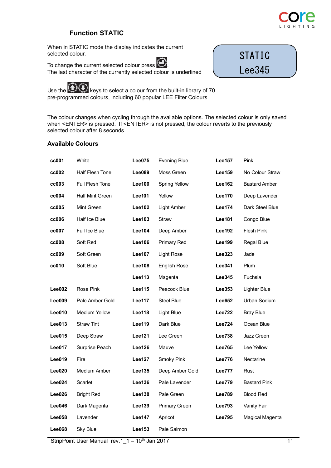

STATIC

Lee345

### **Function STATIC**

When in STATIC mode the display indicates the current selected colour.

To change the current selected colour press  $\bigodot$ The last character of the currently selected colour is underlined

Use the  $\sum$  keys to select a colour from the built-in library of 70 pre-programmed colours, including 60 popular LEE Filter Colours

The colour changes when cycling through the available options. The selected colour is only saved when <ENTER> is pressed. If <ENTER> is not pressed, the colour reverts to the previously selected colour after 8 seconds.

### **Available Colours**

| cc001         | White                  | <b>Lee075</b> | <b>Evening Blue</b>  | <b>Lee157</b> | Pink                 |
|---------------|------------------------|---------------|----------------------|---------------|----------------------|
| cc002         | Half Flesh Tone        | Lee089        | Moss Green           | <b>Lee159</b> | No Colour Straw      |
| cc003         | <b>Full Flesh Tone</b> | <b>Lee100</b> | <b>Spring Yellow</b> | <b>Lee162</b> | <b>Bastard Amber</b> |
| cc004         | <b>Half Mint Green</b> | <b>Lee101</b> | Yellow               | <b>Lee170</b> | Deep Lavender        |
| cc005         | Mint Green             | <b>Lee102</b> | Light Amber          | <b>Lee174</b> | Dark Steel Blue      |
| cc006         | Half Ice Blue          | Lee103        | Straw                | <b>Lee181</b> | Congo Blue           |
| cc007         | Full Ice Blue          | <b>Lee104</b> | Deep Amber           | <b>Lee192</b> | Flesh Pink           |
| cc008         | Soft Red               | <b>Lee106</b> | Primary Red          | Lee199        | Regal Blue           |
| cc009         | Soft Green             | <b>Lee107</b> | <b>Light Rose</b>    | Lee323        | Jade                 |
| cc010         | Soft Blue              | <b>Lee108</b> | English Rose         | <b>Lee341</b> | <b>Plum</b>          |
|               |                        | Lee113        | Magenta              | Lee345        | Fuchsia              |
| Lee002        | Rose Pink              | Lee115        | Peacock Blue         | Lee353        | Lighter Blue         |
| Lee009        | Pale Amber Gold        | <b>Lee117</b> | <b>Steel Blue</b>    | <b>Lee652</b> | Urban Sodium         |
| Lee010        | <b>Medium Yellow</b>   | <b>Lee118</b> | Light Blue           | <b>Lee722</b> | <b>Bray Blue</b>     |
| Lee013        | <b>Straw Tint</b>      | <b>Lee119</b> | Dark Blue            | <b>Lee724</b> | Ocean Blue           |
| Lee015        | Deep Straw             | <b>Lee121</b> | Lee Green            | <b>Lee738</b> | Jazz Green           |
| Lee017        | Surprise Peach         | <b>Lee126</b> | Mauve                | <b>Lee765</b> | Lee Yellow           |
| Lee019        | Fire                   | <b>Lee127</b> | Smoky Pink           | <b>Lee776</b> | Nectarine            |
| Lee020        | Medium Amber           | Lee135        | Deep Amber Gold      | <b>Lee777</b> | Rust                 |
| Lee024        | Scarlet                | Lee136        | Pale Lavender        | <b>Lee779</b> | <b>Bastard Pink</b>  |
| Lee026        | <b>Bright Red</b>      | Lee138        | Pale Green           | <b>Lee789</b> | <b>Blood Red</b>     |
| Lee046        | Dark Magenta           | <b>Lee139</b> | Primary Green        | <b>Lee793</b> | Vanity Fair          |
| Lee058        | Lavender               | <b>Lee147</b> | Apricot              | <b>Lee795</b> | Magical Magenta      |
| <b>Lee068</b> | <b>Sky Blue</b>        | <b>Lee153</b> | Pale Salmon          |               |                      |

StripPoint User Manual rev.1\_1 – 10<sup>th</sup> Jan 2017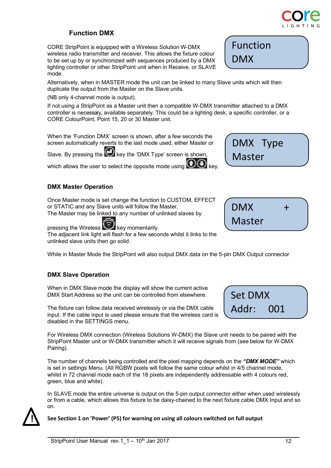# **Function DMX**

CORE StripPoint is equipped with a Wireless Solution W-DMX wireless radio transmitter and receiver. This allows the fixture colour to be set up by or synchronized with sequences produced by a DMX lighting controller or other StripPoint unit when in Receive, or SLAVE mode.

Alternatively, when in MASTER mode the unit can be linked to many Slave units which will then duplicate the output from the Master on the Slave units.

(NB only 4-channel mode is output).

If not using a StripPoint as a Master unit then a compatible W-DMX transmitter attached to a DMX controller is necessary, available separately. This could be a lighting desk, a specific controller, or a CORE ColourPoint, Point 15, 20 or 30 Master unit.

When the 'Function DMX' screen is shown, after a few seconds the screen automatically reverts to the last mode used, either Master or

Slave. By pressing the  $\bigodot$  key the 'DMX Type' screen is shown,

which allows the user to select the opposite mode using  $\bigodot \bigodot$  key.

## **DMX Master Operation**

Once Master mode is set change the function to CUSTOM, EFFECT or STATIC and any Slave units will follow the Master.

The Master may be linked to any number of unlinked slaves by

pressing the Wireless<sup>key</sup> key momentarily.

The adjacent link light will flash for a few seconds whilst it links to the unlinked slave units then go solid.

While in Master Mode the StripPoint will also output DMX data on the 5-pin DMX Output connector

### **DMX Slave Operation**

When in DMX Slave mode the display will show the current active DMX Start Address so the unit can be controlled from elsewhere.

The fixture can follow data received wirelessly or via the DMX cable input. If the cable input is used please ensure that the wireless card is disabled in the SETTINGS menu.

For Wireless DMX connection (Wireless Solutions W-DMX) the Slave unit needs to be paired with the StripPoint Master unit or W-DMX transmitter which it will receive signals from (see below for W-DMX Pairing).

The number of channels being controlled and the pixel mapping depends on the *"DMX MODE"* which is set in settings Menu. (All RGBW pixels will follow the same colour whilst in 4/5 channel mode, whilst in 72 channel mode each of the 18 pixels are independently addressable with 4 colours red, green, blue and white).

In SLAVE mode the entire universe is output on the 5-pin output connector either when used wirelessly or from a cable, which allows this fixture to be daisy-chained to the next fixture cable DMX Input and so on.



### **See Section 1 on 'Power' (P5) for warning on using all colours switched on full output**

 $DMX +$ Master





DMX Type Master

Function

DMX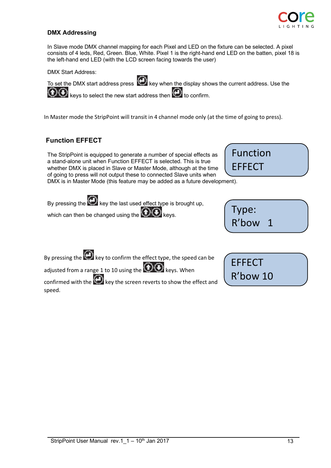

### **DMX Addressing**

In Slave mode DMX channel mapping for each Pixel and LED on the fixture can be selected. A pixel consists of 4 leds, Red, Green. Blue, White. Pixel 1 is the right-hand end LED on the batten, pixel 18 is the left-hand end LED (with the LCD screen facing towards the user)

DMX Start Address:



To set the DMX start address press  $\bigoplus$  key when the display shows the current address. Use the  $\bigcirc$   $\bigcirc$  keys to select the new start address then  $\bigcirc$  to confirm.

In Master mode the StripPoint will transit in 4 channel mode only (at the time of going to press).

### **Function EFFECT**

The StripPoint is equipped to generate a number of special effects as a stand-alone unit when Function EFFECT is selected. This is true whether DMX is placed in Slave or Master Mode, although at the time of going to press will not output these to connected Slave units when DMX is in Master Mode (this feature may be added as a future development).

Function EFFECT

By pressing the  $\bigodot$  key the last used effect type is brought up,

which can then be changed using the  $\bigcirc \mathbf{\odot}$  keys.

| Type: |  |  |
|-------|--|--|
| R'bow |  |  |

By pressing the  $\bigodot$  key to confirm the effect type, the speed can be

adjusted from a range 1 to 10 using the  $\bigodot$  Reys. When

confirmed with the  $\bigoplus$  key the screen reverts to show the effect and speed.

| <b>EFFECT</b> |  |
|---------------|--|
| R'bow 10      |  |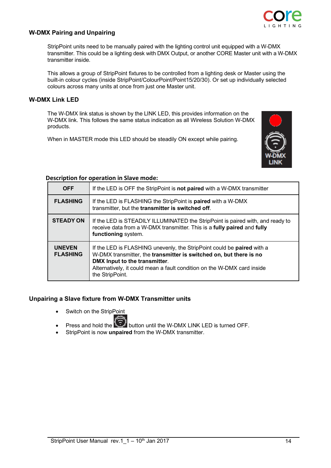

### **W-DMX Pairing and Unpairing**

StripPoint units need to be manually paired with the lighting control unit equipped with a W-DMX transmitter. This could be a lighting desk with DMX Output, or another CORE Master unit with a W-DMX transmitter inside.

This allows a group of StripPoint fixtures to be controlled from a lighting desk or Master using the built-in colour cycles (inside StripPoint/ColourPoint/Point15/20/30). Or set up individually selected colours across many units at once from just one Master unit.

### **W-DMX Link LED**

The W-DMX link status is shown by the LINK LED, this provides information on the W-DMX link. This follows the same status indication as all Wireless Solution W-DMX products.

When in MASTER mode this LED should be steadily ON except while pairing.



### **Description for operation in Slave mode:**

| <b>OFF</b>                       | If the LED is OFF the StripPoint is <b>not paired</b> with a W-DMX transmitter                                                                                                                                                                                              |
|----------------------------------|-----------------------------------------------------------------------------------------------------------------------------------------------------------------------------------------------------------------------------------------------------------------------------|
| <b>FLASHING</b>                  | If the LED is FLASHING the StripPoint is <b>paired</b> with a W-DMX<br>transmitter, but the transmitter is switched off.                                                                                                                                                    |
| <b>STEADY ON</b>                 | If the LED is STEADILY ILLUMINATED the StripPoint is paired with, and ready to<br>receive data from a W-DMX transmitter. This is a fully paired and fully<br>functioning system.                                                                                            |
| <b>UNEVEN</b><br><b>FLASHING</b> | If the LED is FLASHING unevenly, the StripPoint could be paired with a<br>W-DMX transmitter, the transmitter is switched on, but there is no<br>DMX Input to the transmitter.<br>Alternatively, it could mean a fault condition on the W-DMX card inside<br>the StripPoint. |

### **Unpairing a Slave fixture from W-DMX Transmitter units**

- Switch on the StripPoint
	-
- **Press and hold the button until the W-DMX LINK LED is turned OFF.**
- StripPoint is now **unpaired** from the W-DMX transmitter.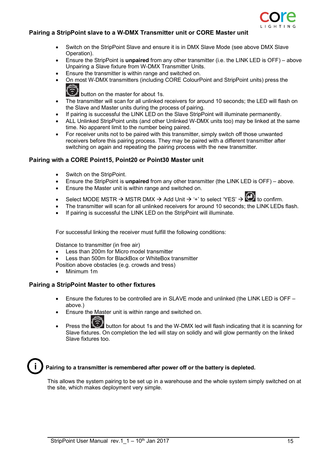

### **Pairing a StripPoint slave to a W-DMX Transmitter unit or CORE Master unit**

- Switch on the StripPoint Slave and ensure it is in DMX Slave Mode (see above DMX Slave Operation).
- Ensure the StripPoint is **unpaired** from any other transmitter (i.e. the LINK LED is OFF) above Unpairing a Slave fixture from W-DMX Transmitter Units.
- Ensure the transmitter is within range and switched on.
- On most W-DMX transmitters (including CORE ColourPoint and StripPoint units) press the ⊜

button on the master for about 1s.

- The transmitter will scan for all unlinked receivers for around 10 seconds; the LED will flash on the Slave and Master units during the process of pairing.
- If pairing is successful the LINK LED on the Slave StripPoint will illuminate permanently.
- ALL Unlinked StripPoint units (and other Unlinked W-DMX units too) may be linked at the same time. No apparent limit to the number being paired.
- For receiver units not to be paired with this transmitter, simply switch off those unwanted receivers before this pairing process. They may be paired with a different transmitter after switching on again and repeating the pairing process with the new transmitter.

### **Pairing with a CORE Point15, Point20 or Point30 Master unit**

- Switch on the StripPoint.
- Ensure the StripPoint is **unpaired** from any other transmitter (the LINK LED is OFF) above.
- Ensure the Master unit is within range and switched on.
- Select MODE MSTR  $\rightarrow$  MSTR DMX  $\rightarrow$  Add Unit  $\rightarrow$  '+' to select 'YES'  $\rightarrow$  ( $\rightarrow$  to confirm.
- The transmitter will scan for all unlinked receivers for around 10 seconds; the LINK LEDs flash.
- If pairing is successful the LINK LED on the StripPoint will illuminate.

For successful linking the receiver must fulfill the following conditions:

Distance to transmitter (in free air)

- Less than 200m for Micro model transmitter
- Less than 500m for BlackBox or WhiteBox transmitter

Position above obstacles (e.g. crowds and tress)

• Minimum 1m

### **Pairing a StripPoint Master to other fixtures**

- Ensure the fixtures to be controlled are in SLAVE mode and unlinked (the LINK LED is OFF above.)
- Ensure the Master unit is within range and switched on.
- Press the button for about 1s and the W-DMX led will flash indicating that it is scanning for Slave fixtures. On completion the led will stay on solidly and will glow permantly on the linked Slave fixtures too.



### **i Pairing to a transmitter is remembered after power off or the battery is depleted.**

This allows the system pairing to be set up in a warehouse and the whole system simply switched on at the site, which makes deployment very simple.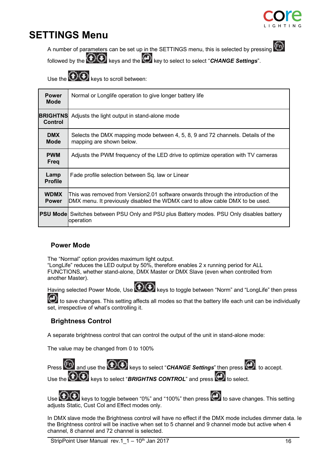

# **SETTINGS Menu**



A number of parameters can be set up in the SETTINGS menu, this is selected by pressing

followed by the  $\bigcircled{C}$  keys and the  $\bigcircled{C}$  key to select to select "*CHANGE Settings*".

Use the  $\bigcircled{C}$  keys to scroll between:

| <b>Power</b><br><b>Mode</b>       | Normal or Longlife operation to give longer battery life                                                                                                            |
|-----------------------------------|---------------------------------------------------------------------------------------------------------------------------------------------------------------------|
| <b>BRIGHTNS</b><br><b>Control</b> | Adjusts the light output in stand-alone mode                                                                                                                        |
| <b>DMX</b><br><b>Mode</b>         | Selects the DMX mapping mode between 4, 5, 8, 9 and 72 channels. Details of the<br>mapping are shown below.                                                         |
| <b>PWM</b><br>Freq                | Adjusts the PWM frequency of the LED drive to optimize operation with TV cameras                                                                                    |
| Lamp<br><b>Profile</b>            | Fade profile selection between Sq. law or Linear                                                                                                                    |
| <b>WDMX</b><br><b>Power</b>       | This was removed from Version2.01 software onwards through the introduction of the<br>DMX menu. It previously disabled the WDMX card to allow cable DMX to be used. |
|                                   | <b>PSU Mode</b> Switches between PSU Only and PSU plus Battery modes. PSU Only disables battery<br>operation                                                        |

### **Power Mode**

The "Normal" option provides maximum light output.

"LongLife" reduces the LED output by 50%, therefore enables 2 x running period for ALL FUNCTIONS, whether stand-alone, DMX Master or DMX Slave (even when controlled from another Master).

Having selected Power Mode, Use  $\bigcirc$  keys to toggle between "Norm" and "LongLife" then press

to save changes. This setting affects all modes so that the battery life each unit can be individually set, irrespective of what's controlling it.

### **Brightness Control**

A separate brightness control that can control the output of the unit in stand-alone mode:

The value may be changed from 0 to 100%



Use  $\bigoplus$  keys to toggle between "0%" and "100%" then press  $\bigoplus$  to save changes. This setting adjusts Static, Cust Col and Effect modes only.

In DMX slave mode the Brightness control will have no effect if the DMX mode includes dimmer data. Ie the Brightness control will be inactive when set to 5 channel and 9 channel mode but active when 4 channel, 8 channel and 72 channel is selected.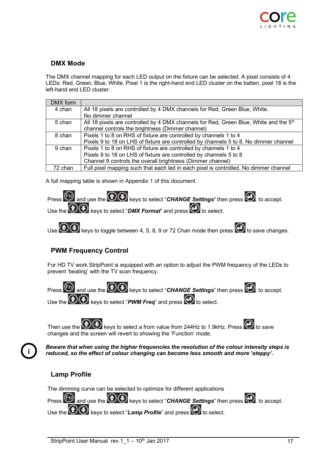

### **DMX Mode**

The DMX channel mapping for each LED output on the fixture can be selected. A pixel consists of 4 LEDs: Red, Green. Blue, White. Pixel 1 is the right-hand end LED cluster on the batten, pixel 18 is the left-hand end LED cluster.

| DMX form |                                                                                                   |
|----------|---------------------------------------------------------------------------------------------------|
| 4 chan   | All 18 pixels are controlled by 4 DMX channels for Red, Green Blue, White.                        |
|          | No dimmer channel                                                                                 |
| 5 chan   | All 18 pixels are controlled by 4 DMX channels for Red, Green Blue, White and the 5 <sup>th</sup> |
|          | channel controls the brightness (Dimmer channel)                                                  |
| 8 chan   | Pixels 1 to 8 on RHS of fixture are controlled by channels 1 to 4                                 |
|          | Pixels 9 to 18 on LHS of fixture are controlled by channels 5 to 8. No dimmer channel             |
| 9 chan   | Pixels 1 to 8 on RHS of fixture are controlled by channels 1 to 4                                 |
|          | Pixels 9 to 18 on LHS of fixture are controlled by channels 5 to 8                                |
|          | Channel 9 controls the overall brightness (Dimmer channel)                                        |
| 72 chan  | Full pixel mapping such that each led in each pixel is controlled. No dimmer channel              |

A full mapping table is shown in Appendix 1 of this document.



Use  $\bigoplus$  keys to toggle between 4, 5, 8, 9 or 72 Chan mode then press  $\bigoplus$  to save changes.

### **PWM Frequency Control**

For HD TV work StripPoint is equipped with an option to adjust the PWM frequency of the LEDs to prevent 'beating' with the TV scan frequency.

Press  $\bigcirc$  and use the  $\bigcirc$   $\bigcirc$  keys to select "*CHANGE Settings*" then press  $\bigcirc$  to accept. Use the  $\bigcircled{O}$  keys to select "*PWM Freq*" and press  $\bigcircled{O}$  to select.

Then use the  $\bigcirc$  keys to select a from value from 244Hz to 1.9kHz. Press  $\bigcirc$  to save changes and the screen will revert to showing the 'Function' mode.

**i**

*Beware that when using the higher frequencies the resolution of the colour intensity steps is reduced, so the effect of colour changing can become less smooth and more 'steppy'.*

### **Lamp Profile**

The dimming curve can be selected to optimize for different applications

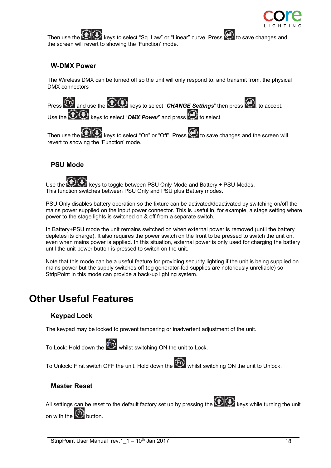

Then use the  $\bigcirc \odot$  keys to select "Sq. Law" or "Linear" curve. Press  $\bigcirc$  to save changes and the screen will revert to showing the 'Function' mode.

### **W-DMX Power**

The Wireless DMX can be turned off so the unit will only respond to, and transmit from, the physical DMX connectors

Press  $\bigoplus$  and use the  $\bigoplus$  keys to select "*CHANGE Settings*" then press  $\bigoplus$  to accept. Use the **OO** keys to select "DMX Power" and press **O** to select.

Then use the  $\bigcircled{O}$  keys to select "On" or "Off". Press  $\bigcircled{O}$  to save changes and the screen will revert to showing the 'Function' mode.

### **PSU Mode**



Use the  $\bigoplus$  keys to toggle between PSU Only Mode and Battery + PSU Modes. This function switches between PSU Only and PSU plus Battery modes.

PSU Only disables battery operation so the fixture can be activated/deactivated by switching on/off the mains power supplied on the input power connector. This is useful in, for example, a stage setting where power to the stage lights is switched on & off from a separate switch.

In Battery+PSU mode the unit remains switched on when external power is removed (until the battery depletes its charge). It also requires the power switch on the front to be pressed to switch the unit on, even when mains power is applied. In this situation, external power is only used for charging the battery until the unit power button is pressed to switch on the unit.

Note that this mode can be a useful feature for providing security lighting if the unit is being supplied on mains power but the supply switches off (eg generator-fed supplies are notoriously unreliable) so StripPoint in this mode can provide a back-up lighting system.

# **Other Useful Features**

### **Keypad Lock**

The keypad may be locked to prevent tampering or inadvertent adjustment of the unit.

To Lock: Hold down the  $(F)$  whilst switching ON the unit to Lock.

To Unlock: First switch OFF the unit. Hold down the **CO** whilst switching ON the unit to Unlock.

### **Master Reset**

All settings can be reset to the default factory set up by pressing the  $\bigcirc \mathbf{Q}$  keys while turning the unit on with the  $\circledcirc$  button.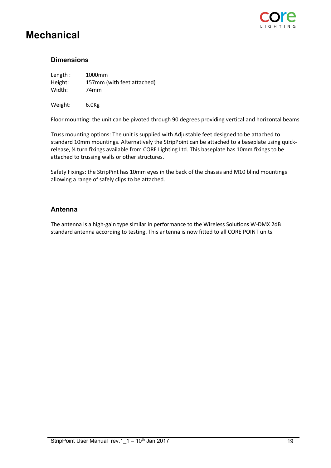

# **Mechanical**

### **Dimensions**

| Length: | 1000mm                     |
|---------|----------------------------|
| Height: | 157mm (with feet attached) |
| Width:  | 74mm                       |

Weight: 6.0Kg

Floor mounting: the unit can be pivoted through 90 degrees providing vertical and horizontal beams

Truss mounting options: The unit is supplied with Adjustable feet designed to be attached to standard 10mm mountings. Alternatively the StripPoint can be attached to a baseplate using quickrelease, ¼ turn fixings available from CORE Lighting Ltd. This baseplate has 10mm fixings to be attached to trussing walls or other structures.

Safety Fixings: the StripPint has 10mm eyes in the back of the chassis and M10 blind mountings allowing a range of safely clips to be attached.

### **Antenna**

The antenna is a high-gain type similar in performance to the Wireless Solutions W-DMX 2dB standard antenna according to testing. This antenna is now fitted to all CORE POINT units.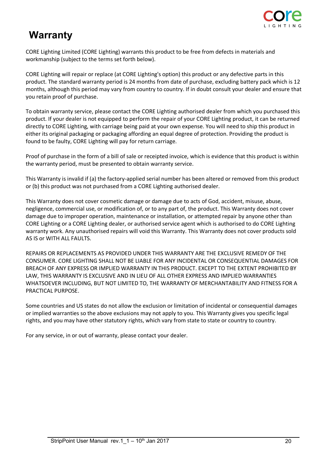

# **Warranty**

CORE Lighting Limited (CORE Lighting) warrants this product to be free from defects in materials and workmanship (subject to the terms set forth below).

CORE Lighting will repair or replace (at CORE Lighting's option) this product or any defective parts in this product. The standard warranty period is 24 months from date of purchase, excluding battery pack which is 12 months, although this period may vary from country to country. If in doubt consult your dealer and ensure that you retain proof of purchase.

To obtain warranty service, please contact the CORE Lighting authorised dealer from which you purchased this product. If your dealer is not equipped to perform the repair of your CORE Lighting product, it can be returned directly to CORE Lighting, with carriage being paid at your own expense. You will need to ship this product in either its original packaging or packaging affording an equal degree of protection. Providing the product is found to be faulty, CORE Lighting will pay for return carriage.

Proof of purchase in the form of a bill of sale or receipted invoice, which is evidence that this product is within the warranty period, must be presented to obtain warranty service.

This Warranty is invalid if (a) the factory-applied serial number has been altered or removed from this product or (b) this product was not purchased from a CORE Lighting authorised dealer.

This Warranty does not cover cosmetic damage or damage due to acts of God, accident, misuse, abuse, negligence, commercial use, or modification of, or to any part of, the product. This Warranty does not cover damage due to improper operation, maintenance or installation, or attempted repair by anyone other than CORE Lighting or a CORE Lighting dealer, or authorised service agent which is authorised to do CORE Lighting warranty work. Any unauthorised repairs will void this Warranty. This Warranty does not cover products sold AS IS or WITH ALL FAULTS.

REPAIRS OR REPLACEMENTS AS PROVIDED UNDER THIS WARRANTY ARE THE EXCLUSIVE REMEDY OF THE CONSUMER. CORE LIGHTING SHALL NOT BE LIABLE FOR ANY INCIDENTAL OR CONSEQUENTIAL DAMAGES FOR BREACH OF ANY EXPRESS OR IMPLIED WARRANTY IN THIS PRODUCT. EXCEPT TO THE EXTENT PROHIBITED BY LAW, THIS WARRANTY IS EXCLUSIVE AND IN LIEU OF ALL OTHER EXPRESS AND IMPLIED WARRANTIES WHATSOEVER INCLUDING, BUT NOT LIMITED TO, THE WARRANTY OF MERCHANTABILITY AND FITNESS FOR A PRACTICAL PURPOSE.

Some countries and US states do not allow the exclusion or limitation of incidental or consequential damages or implied warranties so the above exclusions may not apply to you. This Warranty gives you specific legal rights, and you may have other statutory rights, which vary from state to state or country to country.

For any service, in or out of warranty, please contact your dealer.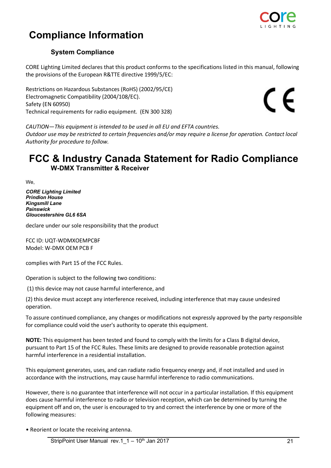

# **Compliance Information**

### **System Compliance**

CORE Lighting Limited declares that this product conforms to the specifications listed in this manual, following the provisions of the European R&TTE directive 1999/5/EC:

Restrictions on Hazardous Substances (RoHS) (2002/95/CE) Electromagnetic Compatibility (2004/108/EC). Safety (EN 60950) Technical requirements for radio equipment. (EN 300 328)

 $\epsilon$ 

*CAUTION—This equipment is intended to be used in all EU and EFTA countries. Outdoor use may be restricted to certain frequencies and/or may require a license for operation. Contact local Authority for procedure to follow.*

# **FCC & Industry Canada Statement for Radio Compliance W-DMX Transmitter & Receiver**

We,

*CORE Lighting Limited Prindion House Kingsmill Lane Painswick Gloucestershire GL6 6SA*

declare under our sole responsibility that the product

FCC ID: UQT-WDMXOEMPCBF Model: W-DMX OEM PCB F

complies with Part 15 of the FCC Rules.

Operation is subject to the following two conditions:

(1) this device may not cause harmful interference, and

(2) this device must accept any interference received, including interference that may cause undesired operation.

To assure continued compliance, any changes or modifications not expressly approved by the party responsible for compliance could void the user's authority to operate this equipment.

**NOTE:** This equipment has been tested and found to comply with the limits for a Class B digital device, pursuant to Part 15 of the FCC Rules. These limits are designed to provide reasonable protection against harmful interference in a residential installation.

This equipment generates, uses, and can radiate radio frequency energy and, if not installed and used in accordance with the instructions, may cause harmful interference to radio communications.

However, there is no guarantee that interference will not occur in a particular installation. If this equipment does cause harmful interference to radio or television reception, which can be determined by turning the equipment off and on, the user is encouraged to try and correct the interference by one or more of the following measures:

• Reorient or locate the receiving antenna.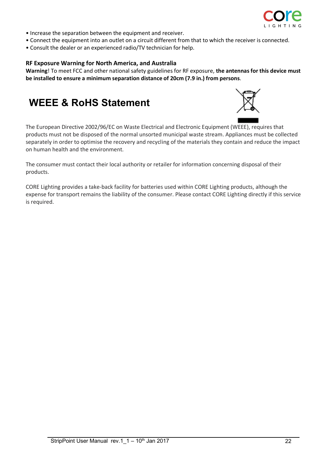

- Increase the separation between the equipment and receiver.
- Connect the equipment into an outlet on a circuit different from that to which the receiver is connected.
- Consult the dealer or an experienced radio/TV technician for help.

### **RF Exposure Warning for North America, and Australia**

**Warning**! To meet FCC and other national safety guidelines for RF exposure, **the antennas for this device must be installed to ensure a minimum separation distance of 20cm (7.9 in.) from persons**.

# **WEEE & RoHS Statement**



The European Directive 2002/96/EC on Waste Electrical and Electronic Equipment (WEEE), requires that products must not be disposed of the normal unsorted municipal waste stream. Appliances must be collected separately in order to optimise the recovery and recycling of the materials they contain and reduce the impact on human health and the environment.

The consumer must contact their local authority or retailer for information concerning disposal of their products.

CORE Lighting provides a take-back facility for batteries used within CORE Lighting products, although the expense for transport remains the liability of the consumer. Please contact CORE Lighting directly if this service is required.